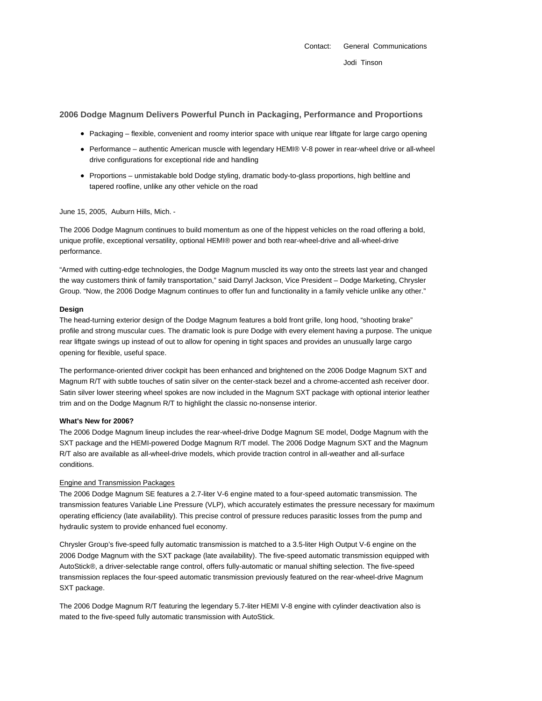# **2006 Dodge Magnum Delivers Powerful Punch in Packaging, Performance and Proportions**

- Packaging flexible, convenient and roomy interior space with unique rear liftgate for large cargo opening
- Performance authentic American muscle with legendary HEMI® V-8 power in rear-wheel drive or all-wheel drive configurations for exceptional ride and handling
- Proportions unmistakable bold Dodge styling, dramatic body-to-glass proportions, high beltline and tapered roofline, unlike any other vehicle on the road

### June 15, 2005, Auburn Hills, Mich. -

The 2006 Dodge Magnum continues to build momentum as one of the hippest vehicles on the road offering a bold, unique profile, exceptional versatility, optional HEMI® power and both rear-wheel-drive and all-wheel-drive performance.

"Armed with cutting-edge technologies, the Dodge Magnum muscled its way onto the streets last year and changed the way customers think of family transportation," said Darryl Jackson, Vice President – Dodge Marketing, Chrysler Group. "Now, the 2006 Dodge Magnum continues to offer fun and functionality in a family vehicle unlike any other."

#### **Design**

The head-turning exterior design of the Dodge Magnum features a bold front grille, long hood, "shooting brake" profile and strong muscular cues. The dramatic look is pure Dodge with every element having a purpose. The unique rear liftgate swings up instead of out to allow for opening in tight spaces and provides an unusually large cargo opening for flexible, useful space.

The performance-oriented driver cockpit has been enhanced and brightened on the 2006 Dodge Magnum SXT and Magnum R/T with subtle touches of satin silver on the center-stack bezel and a chrome-accented ash receiver door. Satin silver lower steering wheel spokes are now included in the Magnum SXT package with optional interior leather trim and on the Dodge Magnum R/T to highlight the classic no-nonsense interior.

### **What's New for 2006?**

The 2006 Dodge Magnum lineup includes the rear-wheel-drive Dodge Magnum SE model, Dodge Magnum with the SXT package and the HEMI-powered Dodge Magnum R/T model. The 2006 Dodge Magnum SXT and the Magnum R/T also are available as all-wheel-drive models, which provide traction control in all-weather and all-surface conditions.

### Engine and Transmission Packages

The 2006 Dodge Magnum SE features a 2.7-liter V-6 engine mated to a four-speed automatic transmission. The transmission features Variable Line Pressure (VLP), which accurately estimates the pressure necessary for maximum operating efficiency (late availability). This precise control of pressure reduces parasitic losses from the pump and hydraulic system to provide enhanced fuel economy.

Chrysler Group's five-speed fully automatic transmission is matched to a 3.5-liter High Output V-6 engine on the 2006 Dodge Magnum with the SXT package (late availability). The five-speed automatic transmission equipped with AutoStick®, a driver-selectable range control, offers fully-automatic or manual shifting selection. The five-speed transmission replaces the four-speed automatic transmission previously featured on the rear-wheel-drive Magnum SXT package.

The 2006 Dodge Magnum R/T featuring the legendary 5.7-liter HEMI V-8 engine with cylinder deactivation also is mated to the five-speed fully automatic transmission with AutoStick.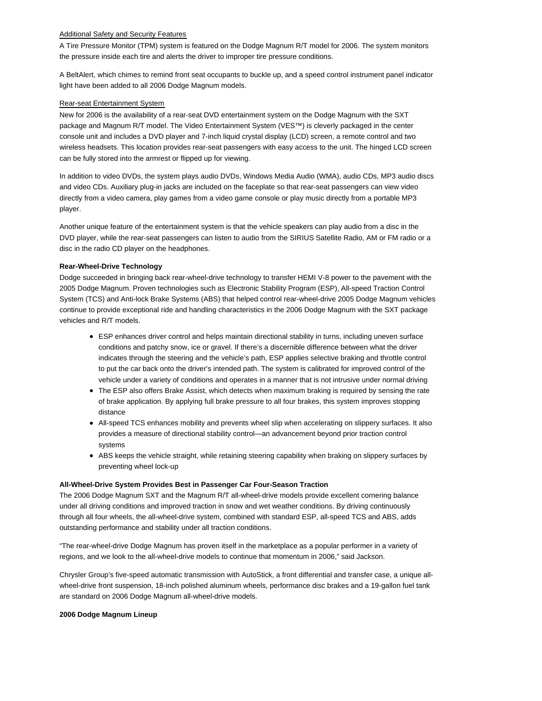### Additional Safety and Security Features

A Tire Pressure Monitor (TPM) system is featured on the Dodge Magnum R/T model for 2006. The system monitors the pressure inside each tire and alerts the driver to improper tire pressure conditions.

A BeltAlert, which chimes to remind front seat occupants to buckle up, and a speed control instrument panel indicator light have been added to all 2006 Dodge Magnum models.

## Rear-seat Entertainment System

New for 2006 is the availability of a rear-seat DVD entertainment system on the Dodge Magnum with the SXT package and Magnum R/T model. The Video Entertainment System (VES™) is cleverly packaged in the center console unit and includes a DVD player and 7-inch liquid crystal display (LCD) screen, a remote control and two wireless headsets. This location provides rear-seat passengers with easy access to the unit. The hinged LCD screen can be fully stored into the armrest or flipped up for viewing.

In addition to video DVDs, the system plays audio DVDs, Windows Media Audio (WMA), audio CDs, MP3 audio discs and video CDs. Auxiliary plug-in jacks are included on the faceplate so that rear-seat passengers can view video directly from a video camera, play games from a video game console or play music directly from a portable MP3 player.

Another unique feature of the entertainment system is that the vehicle speakers can play audio from a disc in the DVD player, while the rear-seat passengers can listen to audio from the SIRIUS Satellite Radio, AM or FM radio or a disc in the radio CD player on the headphones.

# **Rear-Wheel-Drive Technology**

Dodge succeeded in bringing back rear-wheel-drive technology to transfer HEMI V-8 power to the pavement with the 2005 Dodge Magnum. Proven technologies such as Electronic Stability Program (ESP), All-speed Traction Control System (TCS) and Anti-lock Brake Systems (ABS) that helped control rear-wheel-drive 2005 Dodge Magnum vehicles continue to provide exceptional ride and handling characteristics in the 2006 Dodge Magnum with the SXT package vehicles and R/T models.

- ESP enhances driver control and helps maintain directional stability in turns, including uneven surface conditions and patchy snow, ice or gravel. If there's a discernible difference between what the driver indicates through the steering and the vehicle's path, ESP applies selective braking and throttle control to put the car back onto the driver's intended path. The system is calibrated for improved control of the vehicle under a variety of conditions and operates in a manner that is not intrusive under normal driving
- The ESP also offers Brake Assist, which detects when maximum braking is required by sensing the rate of brake application. By applying full brake pressure to all four brakes, this system improves stopping distance
- All-speed TCS enhances mobility and prevents wheel slip when accelerating on slippery surfaces. It also provides a measure of directional stability control—an advancement beyond prior traction control systems
- ABS keeps the vehicle straight, while retaining steering capability when braking on slippery surfaces by preventing wheel lock-up

# **All-Wheel-Drive System Provides Best in Passenger Car Four-Season Traction**

The 2006 Dodge Magnum SXT and the Magnum R/T all-wheel-drive models provide excellent cornering balance under all driving conditions and improved traction in snow and wet weather conditions. By driving continuously through all four wheels, the all-wheel-drive system, combined with standard ESP, all-speed TCS and ABS, adds outstanding performance and stability under all traction conditions.

"The rear-wheel-drive Dodge Magnum has proven itself in the marketplace as a popular performer in a variety of regions, and we look to the all-wheel-drive models to continue that momentum in 2006," said Jackson.

Chrysler Group's five-speed automatic transmission with AutoStick, a front differential and transfer case, a unique allwheel-drive front suspension, 18-inch polished aluminum wheels, performance disc brakes and a 19-gallon fuel tank are standard on 2006 Dodge Magnum all-wheel-drive models.

### **2006 Dodge Magnum Lineup**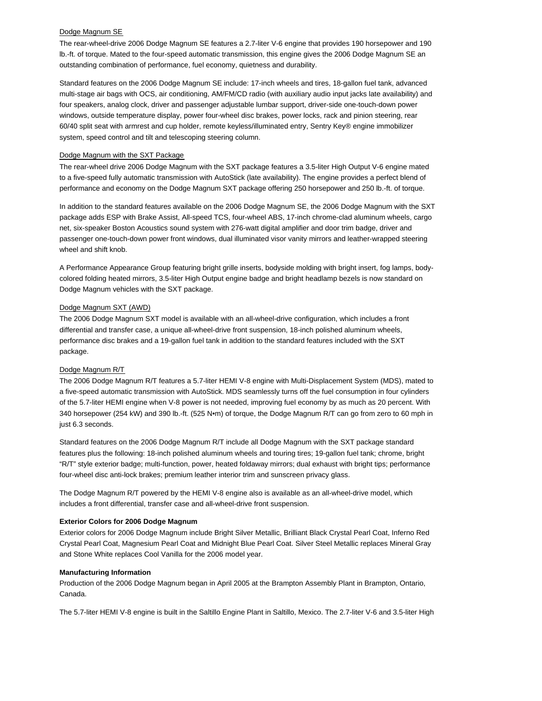#### Dodge Magnum SE

The rear-wheel-drive 2006 Dodge Magnum SE features a 2.7-liter V-6 engine that provides 190 horsepower and 190 lb.-ft. of torque. Mated to the four-speed automatic transmission, this engine gives the 2006 Dodge Magnum SE an outstanding combination of performance, fuel economy, quietness and durability.

Standard features on the 2006 Dodge Magnum SE include: 17-inch wheels and tires, 18-gallon fuel tank, advanced multi-stage air bags with OCS, air conditioning, AM/FM/CD radio (with auxiliary audio input jacks late availability) and four speakers, analog clock, driver and passenger adjustable lumbar support, driver-side one-touch-down power windows, outside temperature display, power four-wheel disc brakes, power locks, rack and pinion steering, rear 60/40 split seat with armrest and cup holder, remote keyless/illuminated entry, Sentry Key® engine immobilizer system, speed control and tilt and telescoping steering column.

#### Dodge Magnum with the SXT Package

The rear-wheel drive 2006 Dodge Magnum with the SXT package features a 3.5-liter High Output V-6 engine mated to a five-speed fully automatic transmission with AutoStick (late availability). The engine provides a perfect blend of performance and economy on the Dodge Magnum SXT package offering 250 horsepower and 250 lb.-ft. of torque.

In addition to the standard features available on the 2006 Dodge Magnum SE, the 2006 Dodge Magnum with the SXT package adds ESP with Brake Assist, All-speed TCS, four-wheel ABS, 17-inch chrome-clad aluminum wheels, cargo net, six-speaker Boston Acoustics sound system with 276-watt digital amplifier and door trim badge, driver and passenger one-touch-down power front windows, dual illuminated visor vanity mirrors and leather-wrapped steering wheel and shift knob.

A Performance Appearance Group featuring bright grille inserts, bodyside molding with bright insert, fog lamps, bodycolored folding heated mirrors, 3.5-liter High Output engine badge and bright headlamp bezels is now standard on Dodge Magnum vehicles with the SXT package.

### Dodge Magnum SXT (AWD)

The 2006 Dodge Magnum SXT model is available with an all-wheel-drive configuration, which includes a front differential and transfer case, a unique all-wheel-drive front suspension, 18-inch polished aluminum wheels, performance disc brakes and a 19-gallon fuel tank in addition to the standard features included with the SXT package.

### Dodge Magnum R/T

The 2006 Dodge Magnum R/T features a 5.7-liter HEMI V-8 engine with Multi-Displacement System (MDS), mated to a five-speed automatic transmission with AutoStick. MDS seamlessly turns off the fuel consumption in four cylinders of the 5.7-liter HEMI engine when V-8 power is not needed, improving fuel economy by as much as 20 percent. With 340 horsepower (254 kW) and 390 lb.-ft. (525 N•m) of torque, the Dodge Magnum R/T can go from zero to 60 mph in just 6.3 seconds.

Standard features on the 2006 Dodge Magnum R/T include all Dodge Magnum with the SXT package standard features plus the following: 18-inch polished aluminum wheels and touring tires; 19-gallon fuel tank; chrome, bright "R/T" style exterior badge; multi-function, power, heated foldaway mirrors; dual exhaust with bright tips; performance four-wheel disc anti-lock brakes; premium leather interior trim and sunscreen privacy glass.

The Dodge Magnum R/T powered by the HEMI V-8 engine also is available as an all-wheel-drive model, which includes a front differential, transfer case and all-wheel-drive front suspension.

#### **Exterior Colors for 2006 Dodge Magnum**

Exterior colors for 2006 Dodge Magnum include Bright Silver Metallic, Brilliant Black Crystal Pearl Coat, Inferno Red Crystal Pearl Coat, Magnesium Pearl Coat and Midnight Blue Pearl Coat. Silver Steel Metallic replaces Mineral Gray and Stone White replaces Cool Vanilla for the 2006 model year.

#### **Manufacturing Information**

Production of the 2006 Dodge Magnum began in April 2005 at the Brampton Assembly Plant in Brampton, Ontario, Canada.

The 5.7-liter HEMI V-8 engine is built in the Saltillo Engine Plant in Saltillo, Mexico. The 2.7-liter V-6 and 3.5-liter High